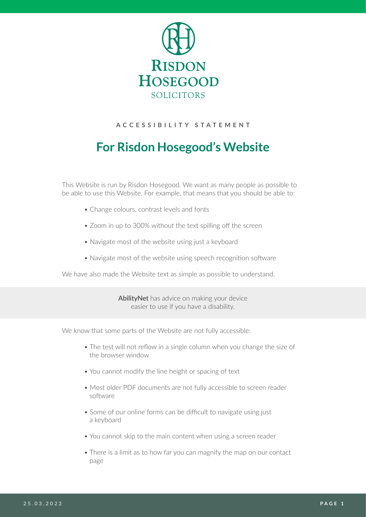

## **ACCESSIBILITY STATEMENT**

# **For Risdon Hosegood's Website**

This Website is run by Risdon Hosegood. We want as many people as possible to be able to use this Website. For example, that means that you should be able to:

- Change colours, contrast levels and fonts
- Zoom in up to 300% without the text spilling off the screen
- Navigate most of the website using just a keyboard
- Navigate most of the website using speech recognition software

We have also made the Website text as simple as possible to understand.

AbilityNet has advice on making your device easier to use if you have a disability.

We know that some parts of the Website are not fully accessible:

- The test will not reflow in a single column when you change the size of the browser window
- You cannot modify the line height or spacing of text
- Most older PDF documents are not fully accessible to screen reader software
- Some of our online forms can be difficult to navigate using just a keyboard
- You cannot skip to the main content when using a screen reader
- There is a limit as to how far you can magnify the map on our contact page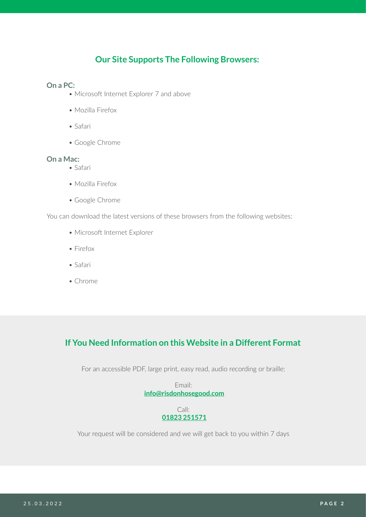## **Our Site Supports The Following Browsers:**

## **On a PC:**

- Microsoft Internet Explorer 7 and above
- Mozilla Firefox
- Safari
- Google Chrome

### **On a Mac:**

- Safari
- Mozilla Firefox
- Google Chrome

You can download the latest versions of these browsers from the following websites:

- Microsoft Internet Explorer
- Firefox
- Safari
- Chrome

## **If You Need Information on this Website in a Different Format**

For an accessible PDF, large print, easy read, audio recording or braille:

Email: **[info@risdonhosegood.com](mailto:info%40risdonhosegood.com?subject=)**

### Call: **[01823 251571](tel:01823251571)**

Your request will be considered and we will get back to you within 7 days